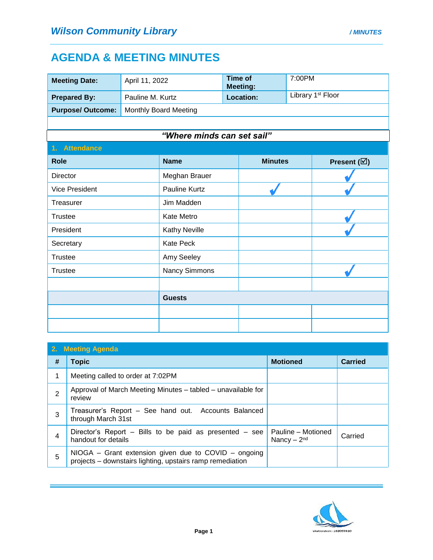## **AGENDA & MEETING MINUTES**

| <b>Meeting Date:</b>    | April 11, 2022        |                            | <b>Time of</b><br><b>Meeting:</b> |                  | 7:00PM                        |  |
|-------------------------|-----------------------|----------------------------|-----------------------------------|------------------|-------------------------------|--|
| <b>Prepared By:</b>     | Pauline M. Kurtz      |                            |                                   | <b>Location:</b> | Library 1 <sup>st</sup> Floor |  |
| <b>Purpose/Outcome:</b> | Monthly Board Meeting |                            |                                   |                  |                               |  |
|                         |                       |                            |                                   |                  |                               |  |
|                         |                       | "Where minds can set sail" |                                   |                  |                               |  |
| 1. Attendance           |                       |                            |                                   |                  |                               |  |
| <b>Role</b>             |                       | <b>Name</b>                |                                   | <b>Minutes</b>   | Present $(\boxtimes)$         |  |
| <b>Director</b>         |                       | Meghan Brauer              |                                   |                  |                               |  |
| <b>Vice President</b>   |                       | Pauline Kurtz              |                                   |                  |                               |  |
| Treasurer               |                       | Jim Madden                 |                                   |                  |                               |  |
| Trustee                 |                       | Kate Metro                 |                                   |                  |                               |  |
| President               |                       | Kathy Neville              |                                   |                  |                               |  |
| Secretary               |                       | <b>Kate Peck</b>           |                                   |                  |                               |  |
| <b>Trustee</b>          |                       | Amy Seeley                 |                                   |                  |                               |  |
| <b>Trustee</b>          |                       | Nancy Simmons              |                                   |                  |                               |  |
|                         |                       |                            |                                   |                  |                               |  |
|                         |                       | <b>Guests</b>              |                                   |                  |                               |  |
|                         |                       |                            |                                   |                  |                               |  |
|                         |                       |                            |                                   |                  |                               |  |

| 2. Meeting Agenda |                                                                                                                   |                                    |                |  |
|-------------------|-------------------------------------------------------------------------------------------------------------------|------------------------------------|----------------|--|
| #                 | <b>Topic</b>                                                                                                      | <b>Motioned</b>                    | <b>Carried</b> |  |
|                   | Meeting called to order at 7:02PM                                                                                 |                                    |                |  |
| $\overline{2}$    | Approval of March Meeting Minutes – tabled – unavailable for<br>review                                            |                                    |                |  |
| 3                 | Treasurer's Report – See hand out. Accounts Balanced<br>through March 31st                                        |                                    |                |  |
|                   | Director's Report – Bills to be paid as presented – see<br>handout for details                                    | Pauline - Motioned<br>Nancy $-2nd$ | Carried        |  |
| 5                 | NIOGA - Grant extension given due to COVID - ongoing<br>projects - downstairs lighting, upstairs ramp remediation |                                    |                |  |

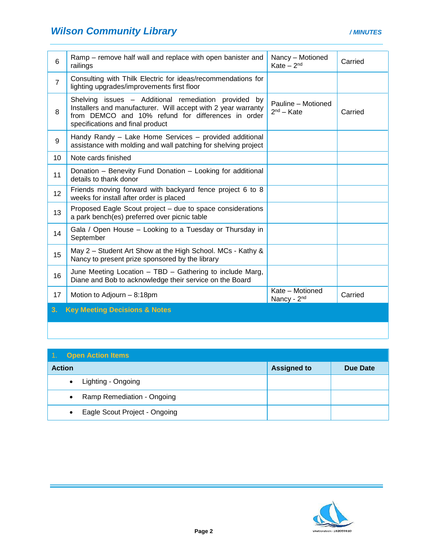| 6               | Ramp – remove half wall and replace with open banister and<br>railings                                                                                                                                          | Nancy - Motioned<br>Kate $-2nd$            | Carried |
|-----------------|-----------------------------------------------------------------------------------------------------------------------------------------------------------------------------------------------------------------|--------------------------------------------|---------|
| $\overline{7}$  | Consulting with Thilk Electric for ideas/recommendations for<br>lighting upgrades/improvements first floor                                                                                                      |                                            |         |
| 8               | Shelving issues - Additional remediation provided by<br>Installers and manufacturer. Will accept with 2 year warranty<br>from DEMCO and 10% refund for differences in order<br>specifications and final product | Pauline - Motioned<br>$2nd - Kate$         | Carried |
| 9               | Handy Randy - Lake Home Services - provided additional<br>assistance with molding and wall patching for shelving project                                                                                        |                                            |         |
| 10              | Note cards finished                                                                                                                                                                                             |                                            |         |
| 11              | Donation - Benevity Fund Donation - Looking for additional<br>details to thank donor                                                                                                                            |                                            |         |
| 12 <sup>2</sup> | Friends moving forward with backyard fence project 6 to 8<br>weeks for install after order is placed                                                                                                            |                                            |         |
| 13              | Proposed Eagle Scout project - due to space considerations<br>a park bench(es) preferred over picnic table                                                                                                      |                                            |         |
| 14              | Gala / Open House - Looking to a Tuesday or Thursday in<br>September                                                                                                                                            |                                            |         |
| 15              | May 2 – Student Art Show at the High School. MCs - Kathy &<br>Nancy to present prize sponsored by the library                                                                                                   |                                            |         |
| 16              | June Meeting Location - TBD - Gathering to include Marg,<br>Diane and Bob to acknowledge their service on the Board                                                                                             |                                            |         |
| 17              | Motion to Adjourn - 8:18pm                                                                                                                                                                                      | Kate - Motioned<br>Nancy - 2 <sup>nd</sup> | Carried |
| 3.              | <b>Key Meeting Decisions &amp; Notes</b>                                                                                                                                                                        |                                            |         |
|                 |                                                                                                                                                                                                                 |                                            |         |

| 4.7           | <b>Open Action Items</b>      |                    |          |
|---------------|-------------------------------|--------------------|----------|
| <b>Action</b> |                               | <b>Assigned to</b> | Due Date |
|               | Lighting - Ongoing            |                    |          |
|               | Ramp Remediation - Ongoing    |                    |          |
|               | Eagle Scout Project - Ongoing |                    |          |